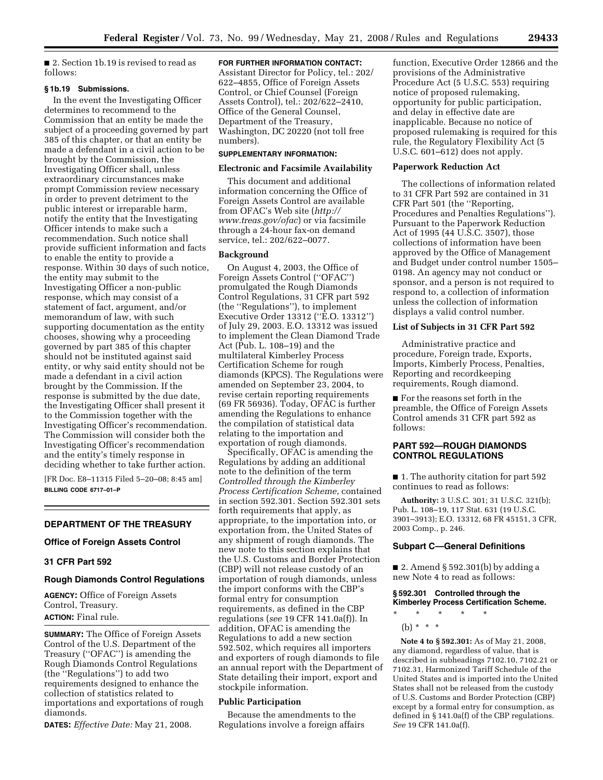■ 2. Section 1b.19 is revised to read as follows:

#### **§ 1b.19 Submissions.**

In the event the Investigating Officer determines to recommend to the Commission that an entity be made the subject of a proceeding governed by part 385 of this chapter, or that an entity be made a defendant in a civil action to be brought by the Commission, the Investigating Officer shall, unless extraordinary circumstances make prompt Commission review necessary in order to prevent detriment to the public interest or irreparable harm, notify the entity that the Investigating Officer intends to make such a recommendation. Such notice shall provide sufficient information and facts to enable the entity to provide a response. Within 30 days of such notice, the entity may submit to the Investigating Officer a non-public response, which may consist of a statement of fact, argument, and/or memorandum of law, with such supporting documentation as the entity chooses, showing why a proceeding governed by part 385 of this chapter should not be instituted against said entity, or why said entity should not be made a defendant in a civil action brought by the Commission. If the response is submitted by the due date, the Investigating Officer shall present it to the Commission together with the Investigating Officer's recommendation. The Commission will consider both the Investigating Officer's recommendation and the entity's timely response in deciding whether to take further action.

[FR Doc. E8–11315 Filed 5–20–08; 8:45 am] **BILLING CODE 6717–01–P** 

# **DEPARTMENT OF THE TREASURY**

### **Office of Foreign Assets Control**

## **31 CFR Part 592**

### **Rough Diamonds Control Regulations**

**AGENCY:** Office of Foreign Assets Control, Treasury. **ACTION:** Final rule.

**SUMMARY:** The Office of Foreign Assets Control of the U.S. Department of the Treasury (''OFAC'') is amending the Rough Diamonds Control Regulations (the ''Regulations'') to add two requirements designed to enhance the collection of statistics related to importations and exportations of rough diamonds.

**DATES:** *Effective Date:* May 21, 2008.

#### **FOR FURTHER INFORMATION CONTACT:**

Assistant Director for Policy, tel.: 202/ 622–4855, Office of Foreign Assets Control, or Chief Counsel (Foreign Assets Control), tel.: 202/622–2410, Office of the General Counsel, Department of the Treasury, Washington, DC 20220 (not toll free numbers).

## **SUPPLEMENTARY INFORMATION:**

#### **Electronic and Facsimile Availability**

This document and additional information concerning the Office of Foreign Assets Control are available from OFAC's Web site (*http:// www.treas.gov/ofac*) or via facsimile through a 24-hour fax-on demand service, tel.: 202/622–0077.

#### **Background**

On August 4, 2003, the Office of Foreign Assets Control (''OFAC'') promulgated the Rough Diamonds Control Regulations, 31 CFR part 592 (the ''Regulations''), to implement Executive Order 13312 (''E.O. 13312'') of July 29, 2003. E.O. 13312 was issued to implement the Clean Diamond Trade Act (Pub. L. 108–19) and the multilateral Kimberley Process Certification Scheme for rough diamonds (KPCS). The Regulations were amended on September 23, 2004, to revise certain reporting requirements (69 FR 56936). Today, OFAC is further amending the Regulations to enhance the compilation of statistical data relating to the importation and exportation of rough diamonds.

Specifically, OFAC is amending the Regulations by adding an additional note to the definition of the term *Controlled through the Kimberley Process Certification Scheme*, contained in section 592.301. Section 592.301 sets forth requirements that apply, as appropriate, to the importation into, or exportation from, the United States of any shipment of rough diamonds. The new note to this section explains that the U.S. Customs and Border Protection (CBP) will not release custody of an importation of rough diamonds, unless the import conforms with the CBP's formal entry for consumption requirements, as defined in the CBP regulations (*see* 19 CFR 141.0a(f)). In addition, OFAC is amending the Regulations to add a new section 592.502, which requires all importers and exporters of rough diamonds to file an annual report with the Department of State detailing their import, export and stockpile information.

### **Public Participation**

Because the amendments to the Regulations involve a foreign affairs

function, Executive Order 12866 and the provisions of the Administrative Procedure Act (5 U.S.C. 553) requiring notice of proposed rulemaking, opportunity for public participation, and delay in effective date are inapplicable. Because no notice of proposed rulemaking is required for this rule, the Regulatory Flexibility Act (5 U.S.C. 601–612) does not apply.

#### **Paperwork Reduction Act**

The collections of information related to 31 CFR Part 592 are contained in 31 CFR Part 501 (the ''Reporting, Procedures and Penalties Regulations''). Pursuant to the Paperwork Reduction Act of 1995 (44 U.S.C. 3507), those collections of information have been approved by the Office of Management and Budget under control number 1505– 0198. An agency may not conduct or sponsor, and a person is not required to respond to, a collection of information unless the collection of information displays a valid control number.

#### **List of Subjects in 31 CFR Part 592**

Administrative practice and procedure, Foreign trade, Exports, Imports, Kimberly Process, Penalties, Reporting and recordkeeping requirements, Rough diamond.

■ For the reasons set forth in the preamble, the Office of Foreign Assets Control amends 31 CFR part 592 as follows:

#### **PART 592—ROUGH DIAMONDS CONTROL REGULATIONS**

■ 1. The authority citation for part 592 continues to read as follows:

**Authority:** 3 U.S.C. 301; 31 U.S.C. 321(b); Pub. L. 108–19, 117 Stat. 631 (19 U.S.C. 3901–3913); E.O. 13312, 68 FR 45151, 3 CFR, 2003 Comp., p. 246.

### **Subpart C—General Definitions**

■ 2. Amend § 592.301(b) by adding a new Note 4 to read as follows:

## **§ 592.301 Controlled through the Kimberley Process Certification Scheme.**

\* \* \* \* \* (b) \* \* \*

**Note 4 to § 592.301:** As of May 21, 2008, any diamond, regardless of value, that is described in subheadings 7102.10, 7102.21 or 7102.31, Harmonized Tariff Schedule of the United States and is imported into the United States shall not be released from the custody of U.S. Customs and Border Protection (CBP) except by a formal entry for consumption, as defined in § 141.0a(f) of the CBP regulations. *See* 19 CFR 141.0a(f).